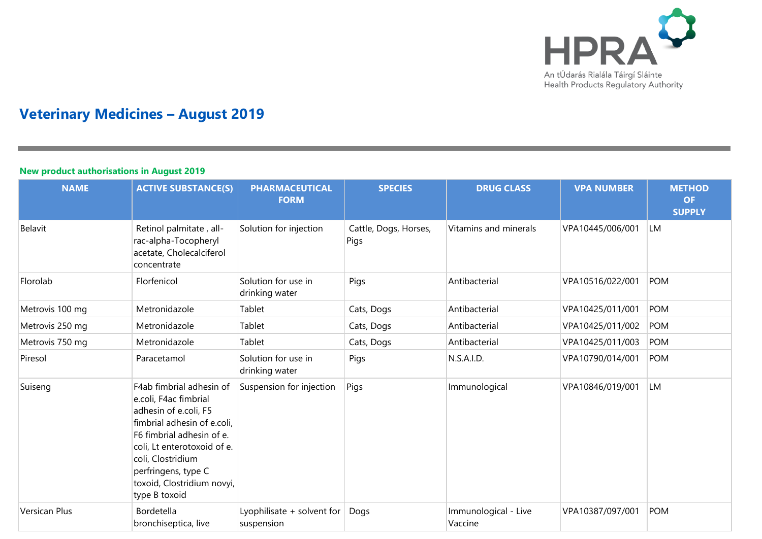

# **Veterinary Medicines – August 2019**

### **New product authorisations in August 2019**

| <b>NAME</b>          | <b>ACTIVE SUBSTANCE(S)</b>                                                                                                                                                                                                                                       | <b>PHARMACEUTICAL</b><br><b>FORM</b>     | <b>SPECIES</b>                | <b>DRUG CLASS</b>               | <b>VPA NUMBER</b> | <b>METHOD</b><br><b>OF</b><br><b>SUPPLY</b> |
|----------------------|------------------------------------------------------------------------------------------------------------------------------------------------------------------------------------------------------------------------------------------------------------------|------------------------------------------|-------------------------------|---------------------------------|-------------------|---------------------------------------------|
| Belavit              | Retinol palmitate, all-<br>rac-alpha-Tocopheryl<br>acetate, Cholecalciferol<br>concentrate                                                                                                                                                                       | Solution for injection                   | Cattle, Dogs, Horses,<br>Pigs | Vitamins and minerals           | VPA10445/006/001  | LM                                          |
| Florolab             | Florfenicol                                                                                                                                                                                                                                                      | Solution for use in<br>drinking water    | Pigs                          | Antibacterial                   | VPA10516/022/001  | <b>POM</b>                                  |
| Metrovis 100 mg      | Metronidazole                                                                                                                                                                                                                                                    | Tablet                                   | Cats, Dogs                    | Antibacterial                   | VPA10425/011/001  | <b>POM</b>                                  |
| Metrovis 250 mg      | Metronidazole                                                                                                                                                                                                                                                    | Tablet                                   | Cats, Dogs                    | Antibacterial                   | VPA10425/011/002  | <b>POM</b>                                  |
| Metrovis 750 mg      | Metronidazole                                                                                                                                                                                                                                                    | Tablet                                   | Cats, Dogs                    | Antibacterial                   | VPA10425/011/003  | <b>POM</b>                                  |
| Piresol              | Paracetamol                                                                                                                                                                                                                                                      | Solution for use in<br>drinking water    | Pigs                          | N.S.A.I.D.                      | VPA10790/014/001  | <b>POM</b>                                  |
| Suiseng              | F4ab fimbrial adhesin of<br>e.coli, F4ac fimbrial<br>adhesin of e.coli, F5<br>fimbrial adhesin of e.coli.<br>F6 fimbrial adhesin of e.<br>coli, Lt enterotoxoid of e.<br>coli, Clostridium<br>perfringens, type C<br>toxoid, Clostridium novyi,<br>type B toxoid | Suspension for injection                 | Pigs                          | Immunological                   | VPA10846/019/001  | LM                                          |
| <b>Versican Plus</b> | Bordetella<br>bronchiseptica, live                                                                                                                                                                                                                               | Lyophilisate + solvent for<br>suspension | Dogs                          | Immunological - Live<br>Vaccine | VPA10387/097/001  | <b>POM</b>                                  |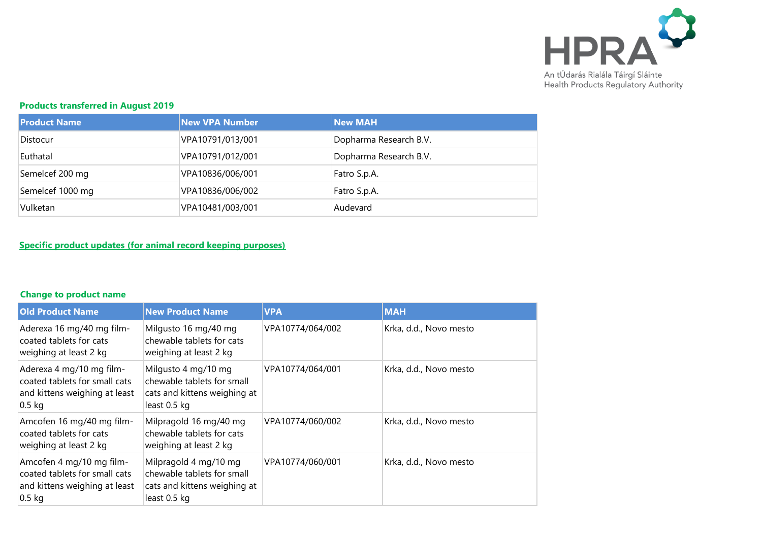

# **Products transferred in August 2019**

| <b>Product Name</b> | <b>New VPA Number</b> | <b>New MAH</b>         |
|---------------------|-----------------------|------------------------|
| Distocur            | VPA10791/013/001      | Dopharma Research B.V. |
| Euthatal            | VPA10791/012/001      | Dopharma Research B.V. |
| Semelcef 200 mg     | VPA10836/006/001      | Fatro S.p.A.           |
| Semelcef 1000 mg    | VPA10836/006/002      | Fatro S.p.A.           |
| Vulketan            | VPA10481/003/001      | Audevard               |

## **Specific product updates (for animal record keeping purposes)**

### **Change to product name**

| <b>Old Product Name</b>                                                                                | <b>New Product Name</b>                                                                             | <b>VPA</b>       | <b>MAH</b>             |
|--------------------------------------------------------------------------------------------------------|-----------------------------------------------------------------------------------------------------|------------------|------------------------|
| Aderexa 16 mg/40 mg film-<br>coated tablets for cats<br>weighing at least 2 kg                         | Milgusto 16 mg/40 mg<br>chewable tablets for cats<br>weighing at least 2 kg                         | VPA10774/064/002 | Krka, d.d., Novo mesto |
| Aderexa 4 mg/10 mg film-<br>coated tablets for small cats<br>and kittens weighing at least<br>$0.5$ kg | Milgusto 4 mg/10 mg<br>chewable tablets for small<br>cats and kittens weighing at<br>least 0.5 kg   | VPA10774/064/001 | Krka, d.d., Novo mesto |
| Amcofen 16 mg/40 mg film-<br>coated tablets for cats<br>weighing at least 2 kg                         | Milpragold 16 mg/40 mg<br>chewable tablets for cats<br>weighing at least 2 kg                       | VPA10774/060/002 | Krka, d.d., Novo mesto |
| Amcofen 4 mg/10 mg film-<br>coated tablets for small cats<br>and kittens weighing at least<br>$0.5$ kg | Milpragold 4 mg/10 mg<br>chewable tablets for small<br>cats and kittens weighing at<br>least 0.5 kg | VPA10774/060/001 | Krka, d.d., Novo mesto |